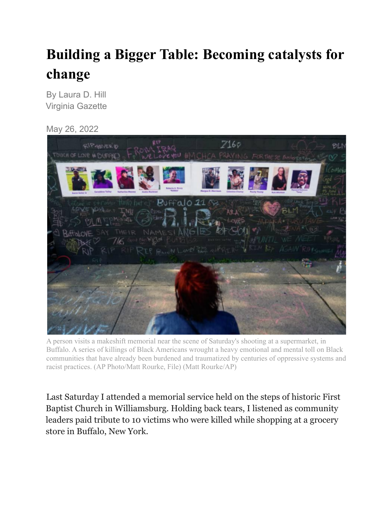## **Building a Bigger Table: Becoming catalysts for change**

By Laura D. Hill Virginia Gazette

May 26, 2022



A person visits a makeshift memorial near the scene of Saturday's shooting at a supermarket, in Buffalo. A series of killings of Black Americans wrought a heavy emotional and mental toll on Black communities that have already been burdened and traumatized by centuries of oppressive systems and racist practices. (AP Photo/Matt Rourke, File) (Matt Rourke/AP)

Last Saturday I attended a memorial service held on the steps of historic First Baptist Church in Williamsburg. Holding back tears, I listened as community leaders paid tribute to 10 victims who were killed while shopping at a grocery store in Buffalo, New York.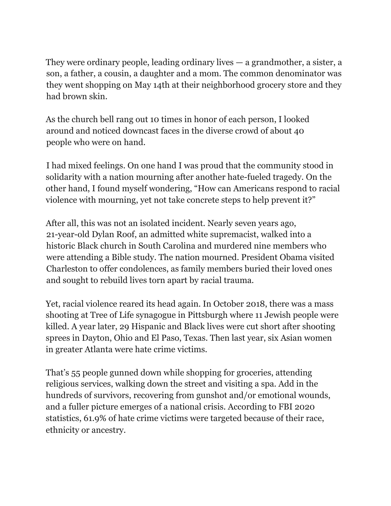They were ordinary people, leading ordinary lives — a grandmother, a sister, a son, a father, a cousin, a daughter and a mom. The common denominator was they went shopping on May 14th at their neighborhood grocery store and they had brown skin.

As the church bell rang out 10 times in honor of each person, I looked around and noticed downcast faces in the diverse crowd of about 40 people who were on hand.

I had mixed feelings. On one hand I was proud that the community stood in solidarity with a nation mourning after another hate-fueled tragedy. On the other hand, I found myself wondering, "How can Americans respond to racial violence with mourning, yet not take concrete steps to help prevent it?"

After all, this was not an isolated incident. Nearly seven years ago, 21-year-old Dylan Roof, an admitted white supremacist, walked into a historic Black church in South Carolina and murdered nine members who were attending a Bible study. The nation mourned. President Obama visited Charleston to offer condolences, as family members buried their loved ones and sought to rebuild lives torn apart by racial trauma.

Yet, racial violence reared its head again. In October 2018, there was a mass shooting at Tree of Life synagogue in Pittsburgh where 11 Jewish people were killed. A year later, 29 Hispanic and Black lives were cut short after shooting sprees in Dayton, Ohio and El Paso, Texas. Then last year, six Asian women in greater Atlanta were hate crime victims.

That's 55 people gunned down while shopping for groceries, attending religious services, walking down the street and visiting a spa. Add in the hundreds of survivors, recovering from gunshot and/or emotional wounds, and a fuller picture emerges of a national crisis. According to FBI 2020 statistics, 61.9% of hate crime victims were targeted because of their race, ethnicity or ancestry.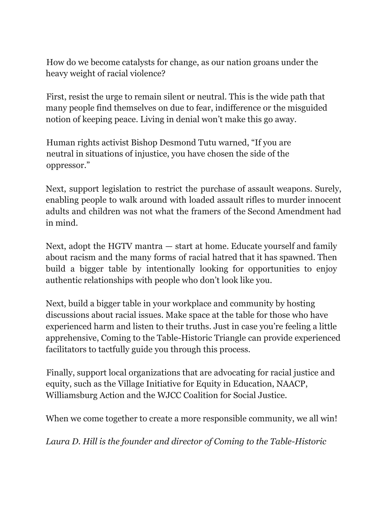How do we become catalysts for change, as our nation groans under the heavy weight of racial violence?

First, resist the urge to remain silent or neutral. This is the wide path that many people find themselves on due to fear, indifference or the misguided notion of keeping peace. Living in denial won't make this go away.

Human rights activist Bishop Desmond Tutu warned, "If you are neutral in situations of injustice, you have chosen the side of the oppressor."

Next, support legislation to restrict the purchase of assault weapons. Surely, enabling people to walk around with loaded assault rifles to murder innocent adults and children was not what the framers of the Second Amendment had in mind.

Next, adopt the HGTV mantra — start at home. Educate yourself and family about racism and the many forms of racial hatred that it has spawned. Then build a bigger table by intentionally looking for opportunities to enjoy authentic relationships with people who don't look like you.

Next, build a bigger table in your workplace and community by hosting discussions about racial issues. Make space at the table for those who have experienced harm and listen to their truths. Just in case you're feeling a little apprehensive, Coming to the Table-Historic Triangle can provide experienced facilitators to tactfully guide you through this process.

Finally, support local organizations that are advocating for racial justice and equity, such as the Village Initiative for Equity in Education, NAACP, Williamsburg Action and the WJCC Coalition for Social Justice.

When we come together to create a more responsible community, we all win!

*Laura D. Hill is the founder and director of Coming to the Table-Historic*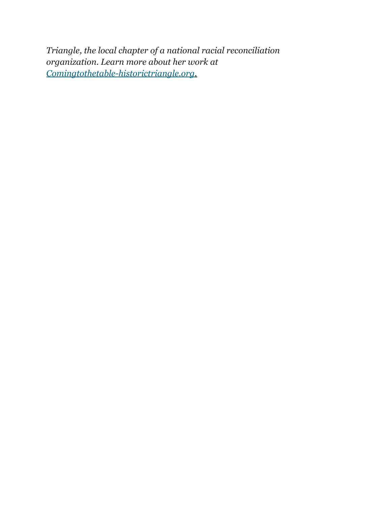*Triangle, the local chapter of a national racial reconciliation organization. Learn more about her work at Comingtothetable-historictriangle.org.*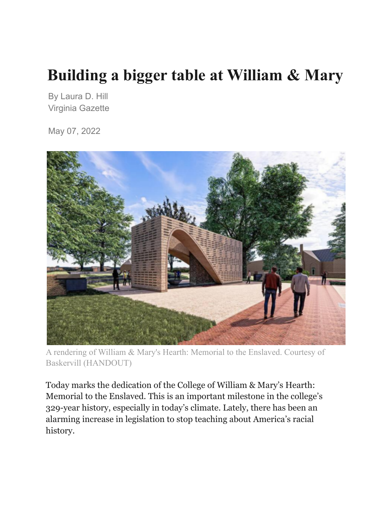## **Building a bigger table at William & Mary**

By Laura D. Hill Virginia Gazette

May 07, 2022



A rendering of William & Mary's Hearth: Memorial to the Enslaved. Courtesy of Baskervill (HANDOUT)

Today marks the dedication of the College of William & Mary's Hearth: Memorial to the Enslaved. This is an important milestone in the college's 329-year history, especially in today's climate. Lately, there has been an alarming increase in legislation to stop teaching about America's racial history.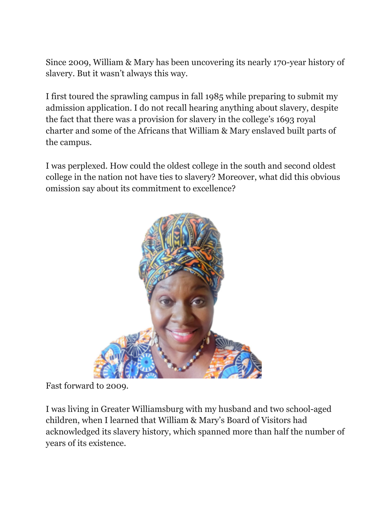Since 2009, William & Mary has been uncovering its nearly 170-year history of slavery. But it wasn't always this way.

I first toured the sprawling campus in fall 1985 while preparing to submit my admission application. I do not recall hearing anything about slavery, despite the fact that there was a provision for slavery in the college's 1693 royal charter and some of the Africans that William & Mary enslaved built parts of the campus.

I was perplexed. How could the oldest college in the south and second oldest college in the nation not have ties to slavery? Moreover, what did this obvious omission say about its commitment to excellence?



Fast forward to 2009.

I was living in Greater Williamsburg with my husband and two school-aged children, when I learned that William & Mary's Board of Visitors had acknowledged its slavery history, which spanned more than half the number of years of its existence.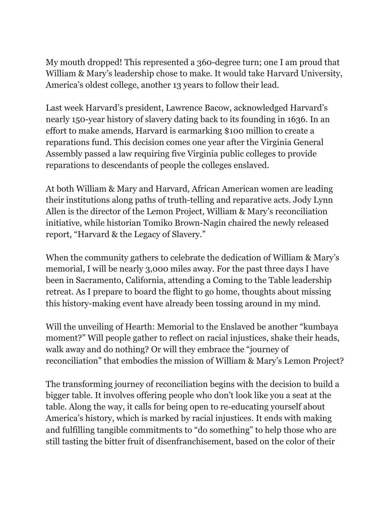My mouth dropped! This represented a 360-degree turn; one I am proud that William & Mary's leadership chose to make. It would take Harvard University, America's oldest college, another 13 years to follow their lead.

Last week Harvard's president, Lawrence Bacow, acknowledged Harvard's nearly 150-year history of slavery dating back to its founding in 1636. In an effort to make amends, Harvard is earmarking \$100 million to create a reparations fund. This decision comes one year after the Virginia General Assembly passed a law requiring five Virginia public colleges to provide reparations to descendants of people the colleges enslaved.

At both William & Mary and Harvard, African American women are leading their institutions along paths of truth-telling and reparative acts. Jody Lynn Allen is the director of the Lemon Project, William & Mary's reconciliation initiative, while historian Tomiko Brown-Nagin chaired the newly released report, "Harvard & the Legacy of Slavery."

When the community gathers to celebrate the dedication of William & Mary's memorial, I will be nearly 3,000 miles away. For the past three days I have been in Sacramento, California, attending a Coming to the Table leadership retreat. As I prepare to board the flight to go home, thoughts about missing this history-making event have already been tossing around in my mind.

Will the unveiling of Hearth: Memorial to the Enslaved be another "kumbaya moment?" Will people gather to reflect on racial injustices, shake their heads, walk away and do nothing? Or will they embrace the "journey of reconciliation" that embodies the mission of William & Mary's Lemon Project?

The transforming journey of reconciliation begins with the decision to build a bigger table. It involves offering people who don't look like you a seat at the table. Along the way, it calls for being open to re-educating yourself about America's history, which is marked by racial injustices. It ends with making and fulfilling tangible commitments to "do something" to help those who are still tasting the bitter fruit of disenfranchisement, based on the color of their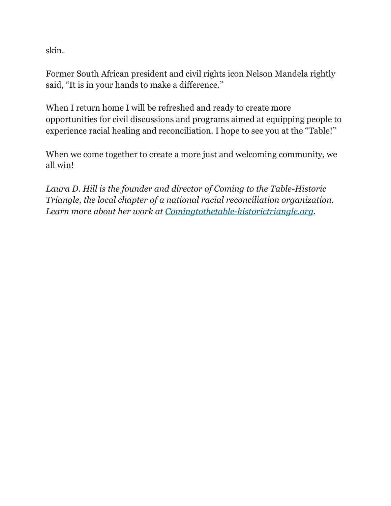skin.

Former South African president and civil rights icon Nelson Mandela rightly said, "It is in your hands to make a difference."

When I return home I will be refreshed and ready to create more opportunities for civil discussions and programs aimed at equipping people to experience racial healing and reconciliation. I hope to see you at the "Table!"

When we come together to create a more just and welcoming community, we all win!

*Laura D. Hill is the founder and director of Coming to the Table-Historic Triangle, the local chapter of a national racial reconciliation organization. Learn more about her work at Comingtothetable-historictriangle.org.*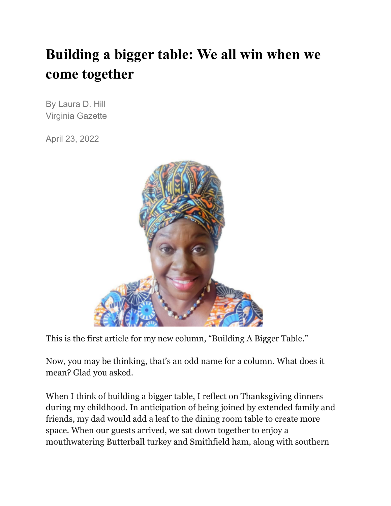## **Building a bigger table: We all win when we come together**

By Laura D. Hill Virginia Gazette

April 23, 2022



This is the first article for my new column, "Building A Bigger Table."

Now, you may be thinking, that's an odd name for a column. What does it mean? Glad you asked.

When I think of building a bigger table, I reflect on Thanksgiving dinners during my childhood. In anticipation of being joined by extended family and friends, my dad would add a leaf to the dining room table to create more space. When our guests arrived, we sat down together to enjoy a mouthwatering Butterball turkey and Smithfield ham, along with southern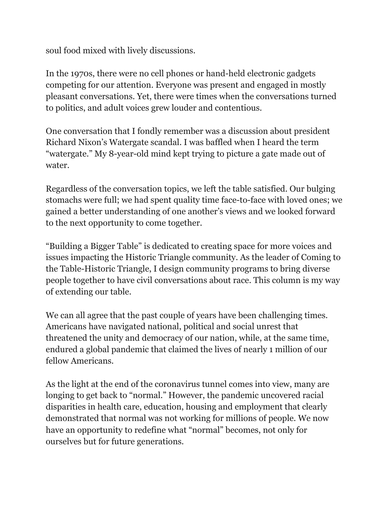soul food mixed with lively discussions.

In the 1970s, there were no cell phones or hand-held electronic gadgets competing for our attention. Everyone was present and engaged in mostly pleasant conversations. Yet, there were times when the conversations turned to politics, and adult voices grew louder and contentious.

One conversation that I fondly remember was a discussion about president Richard Nixon's Watergate scandal. I was baffled when I heard the term "watergate." My 8-year-old mind kept trying to picture a gate made out of water.

Regardless of the conversation topics, we left the table satisfied. Our bulging stomachs were full; we had spent quality time face-to-face with loved ones; we gained a better understanding of one another's views and we looked forward to the next opportunity to come together.

"Building a Bigger Table" is dedicated to creating space for more voices and issues impacting the Historic Triangle community. As the leader of Coming to the Table-Historic Triangle, I design community programs to bring diverse people together to have civil conversations about race. This column is my way of extending our table.

We can all agree that the past couple of years have been challenging times. Americans have navigated national, political and social unrest that threatened the unity and democracy of our nation, while, at the same time, endured a global pandemic that claimed the lives of nearly 1 million of our fellow Americans.

As the light at the end of the coronavirus tunnel comes into view, many are longing to get back to "normal." However, the pandemic uncovered racial disparities in health care, education, housing and employment that clearly demonstrated that normal was not working for millions of people. We now have an opportunity to redefine what "normal" becomes, not only for ourselves but for future generations.